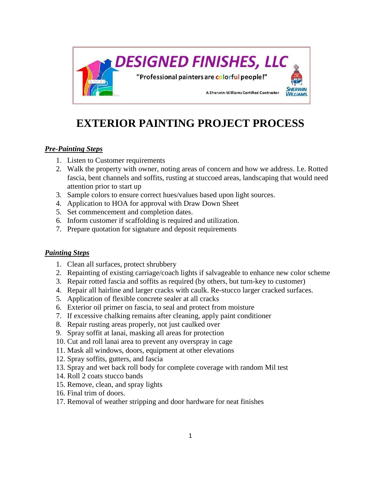

## **EXTERIOR PAINTING PROJECT PROCESS**

## *Pre-Painting Steps*

- 1. Listen to Customer requirements
- 2. Walk the property with owner, noting areas of concern and how we address. I.e. Rotted fascia, bent channels and soffits, rusting at stuccoed areas, landscaping that would need attention prior to start up
- 3. Sample colors to ensure correct hues/values based upon light sources.
- 4. Application to HOA for approval with Draw Down Sheet
- 5. Set commencement and completion dates.
- 6. Inform customer if scaffolding is required and utilization.
- 7. Prepare quotation for signature and deposit requirements

## *Painting Steps*

- 1. Clean all surfaces, protect shrubbery
- 2. Repainting of existing carriage/coach lights if salvageable to enhance new color scheme
- 3. Repair rotted fascia and soffits as required (by others, but turn-key to customer)
- 4. Repair all hairline and larger cracks with caulk. Re-stucco larger cracked surfaces.
- 5. Application of flexible concrete sealer at all cracks
- 6. Exterior oil primer on fascia, to seal and protect from moisture
- 7. If excessive chalking remains after cleaning, apply paint conditioner
- 8. Repair rusting areas properly, not just caulked over
- 9. Spray soffit at lanai, masking all areas for protection
- 10. Cut and roll lanai area to prevent any overspray in cage
- 11. Mask all windows, doors, equipment at other elevations
- 12. Spray soffits, gutters, and fascia
- 13. Spray and wet back roll body for complete coverage with random Mil test
- 14. Roll 2 coats stucco bands
- 15. Remove, clean, and spray lights
- 16. Final trim of doors.
- 17. Removal of weather stripping and door hardware for neat finishes